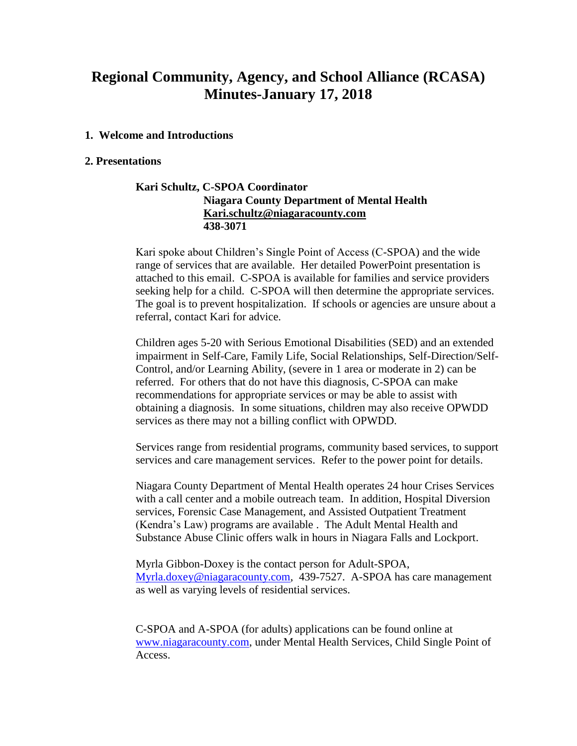# **Regional Community, Agency, and School Alliance (RCASA) Minutes-January 17, 2018**

#### **1. Welcome and Introductions**

#### **2. Presentations**

### **Kari Schultz, C-SPOA Coordinator Niagara County Department of Mental Health [Kari.schultz@niagaracounty.com](mailto:Kari.schultz@niagaracounty.com) 438-3071**

Kari spoke about Children's Single Point of Access (C-SPOA) and the wide range of services that are available. Her detailed PowerPoint presentation is attached to this email. C-SPOA is available for families and service providers seeking help for a child. C-SPOA will then determine the appropriate services. The goal is to prevent hospitalization. If schools or agencies are unsure about a referral, contact Kari for advice.

Children ages 5-20 with Serious Emotional Disabilities (SED) and an extended impairment in Self-Care, Family Life, Social Relationships, Self-Direction/Self-Control, and/or Learning Ability, (severe in 1 area or moderate in 2) can be referred. For others that do not have this diagnosis, C-SPOA can make recommendations for appropriate services or may be able to assist with obtaining a diagnosis. In some situations, children may also receive OPWDD services as there may not a billing conflict with OPWDD.

Services range from residential programs, community based services, to support services and care management services. Refer to the power point for details.

Niagara County Department of Mental Health operates 24 hour Crises Services with a call center and a mobile outreach team. In addition, Hospital Diversion services, Forensic Case Management, and Assisted Outpatient Treatment (Kendra's Law) programs are available . The Adult Mental Health and Substance Abuse Clinic offers walk in hours in Niagara Falls and Lockport.

Myrla Gibbon-Doxey is the contact person for Adult-SPOA, [Myrla.doxey@niagaracounty.com,](mailto:Myrla.doxey@niagaracounty.com) 439-7527. A-SPOA has care management as well as varying levels of residential services.

C-SPOA and A-SPOA (for adults) applications can be found online at [www.niagaracounty.com,](http://www.niagaracounty.com/) under Mental Health Services, Child Single Point of Access.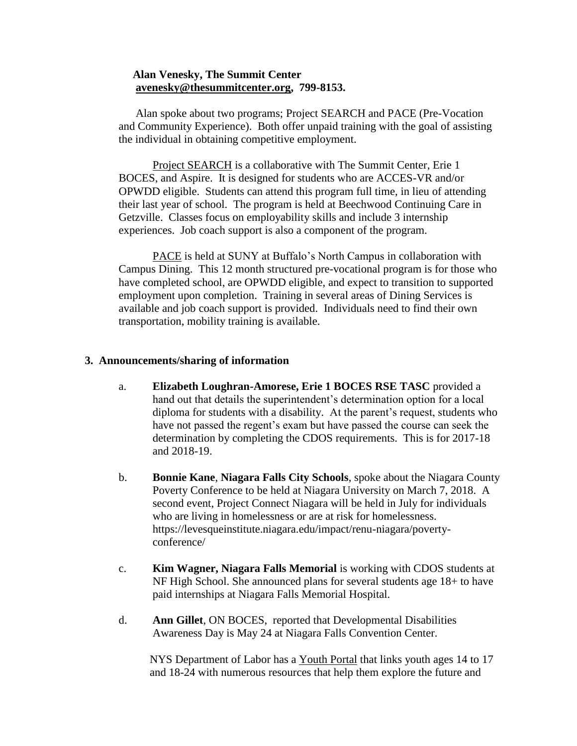## **Alan Venesky, The Summit Center [avenesky@thesummitcenter.org,](mailto:avenesky@thesummitcenter.org) 799-8153.**

 Alan spoke about two programs; Project SEARCH and PACE (Pre-Vocation and Community Experience). Both offer unpaid training with the goal of assisting the individual in obtaining competitive employment.

Project SEARCH is a collaborative with The Summit Center, Erie 1 BOCES, and Aspire. It is designed for students who are ACCES-VR and/or OPWDD eligible. Students can attend this program full time, in lieu of attending their last year of school. The program is held at Beechwood Continuing Care in Getzville. Classes focus on employability skills and include 3 internship experiences. Job coach support is also a component of the program.

PACE is held at SUNY at Buffalo's North Campus in collaboration with Campus Dining. This 12 month structured pre-vocational program is for those who have completed school, are OPWDD eligible, and expect to transition to supported employment upon completion. Training in several areas of Dining Services is available and job coach support is provided. Individuals need to find their own transportation, mobility training is available.

#### **3. Announcements/sharing of information**

- a. **Elizabeth Loughran-Amorese, Erie 1 BOCES RSE TASC** provided a hand out that details the superintendent's determination option for a local diploma for students with a disability. At the parent's request, students who have not passed the regent's exam but have passed the course can seek the determination by completing the CDOS requirements. This is for 2017-18 and 2018-19.
- b. **Bonnie Kane**, **Niagara Falls City Schools**, spoke about the Niagara County Poverty Conference to be held at Niagara University on March 7, 2018. A second event, Project Connect Niagara will be held in July for individuals who are living in homelessness or are at risk for homelessness. https://levesqueinstitute.niagara.edu/impact/renu-niagara/povertyconference/
- c. **Kim Wagner, Niagara Falls Memorial** is working with CDOS students at NF High School. She announced plans for several students age 18+ to have paid internships at Niagara Falls Memorial Hospital.
- d. **Ann Gillet**, ON BOCES, reported that Developmental Disabilities Awareness Day is May 24 at Niagara Falls Convention Center.

NYS Department of Labor has a Youth Portal that links youth ages 14 to 17 and 18-24 with numerous resources that help them explore the future and